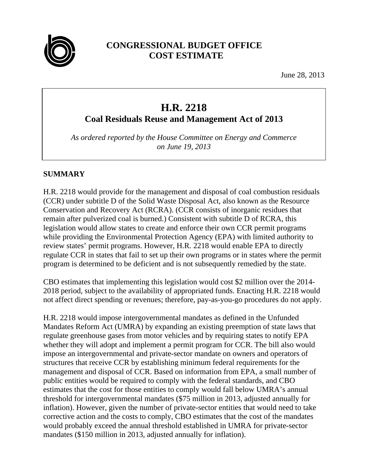

# **CONGRESSIONAL BUDGET OFFICE COST ESTIMATE**

June 28, 2013

# **H.R. 2218**

**Coal Residuals Reuse and Management Act of 2013**

*As ordered reported by the House Committee on Energy and Commerce on June 19, 2013*

#### **SUMMARY**

H.R. 2218 would provide for the management and disposal of coal combustion residuals (CCR) under subtitle D of the Solid Waste Disposal Act, also known as the Resource Conservation and Recovery Act (RCRA). (CCR consists of inorganic residues that remain after pulverized coal is burned.) Consistent with subtitle D of RCRA, this legislation would allow states to create and enforce their own CCR permit programs while providing the Environmental Protection Agency (EPA) with limited authority to review states' permit programs. However, H.R. 2218 would enable EPA to directly regulate CCR in states that fail to set up their own programs or in states where the permit program is determined to be deficient and is not subsequently remedied by the state.

CBO estimates that implementing this legislation would cost \$2 million over the 2014- 2018 period, subject to the availability of appropriated funds. Enacting H.R. 2218 would not affect direct spending or revenues; therefore, pay-as-you-go procedures do not apply.

H.R. 2218 would impose intergovernmental mandates as defined in the Unfunded Mandates Reform Act (UMRA) by expanding an existing preemption of state laws that regulate greenhouse gases from motor vehicles and by requiring states to notify EPA whether they will adopt and implement a permit program for CCR. The bill also would impose an intergovernmental and private-sector mandate on owners and operators of structures that receive CCR by establishing minimum federal requirements for the management and disposal of CCR. Based on information from EPA, a small number of public entities would be required to comply with the federal standards, and CBO estimates that the cost for those entities to comply would fall below UMRA's annual threshold for intergovernmental mandates (\$75 million in 2013, adjusted annually for inflation). However, given the number of private-sector entities that would need to take corrective action and the costs to comply, CBO estimates that the cost of the mandates would probably exceed the annual threshold established in UMRA for private-sector mandates (\$150 million in 2013, adjusted annually for inflation).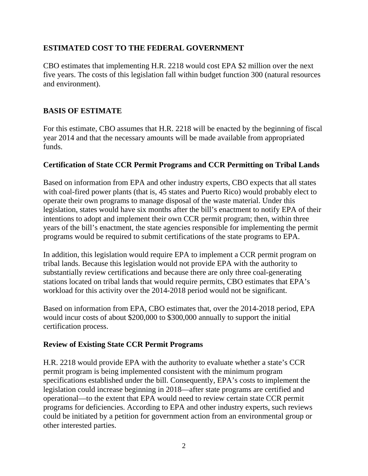#### **ESTIMATED COST TO THE FEDERAL GOVERNMENT**

CBO estimates that implementing H.R. 2218 would cost EPA \$2 million over the next five years. The costs of this legislation fall within budget function 300 (natural resources and environment).

#### **BASIS OF ESTIMATE**

For this estimate, CBO assumes that H.R. 2218 will be enacted by the beginning of fiscal year 2014 and that the necessary amounts will be made available from appropriated funds.

#### **Certification of State CCR Permit Programs and CCR Permitting on Tribal Lands**

Based on information from EPA and other industry experts, CBO expects that all states with coal-fired power plants (that is, 45 states and Puerto Rico) would probably elect to operate their own programs to manage disposal of the waste material. Under this legislation, states would have six months after the bill's enactment to notify EPA of their intentions to adopt and implement their own CCR permit program; then, within three years of the bill's enactment, the state agencies responsible for implementing the permit programs would be required to submit certifications of the state programs to EPA.

In addition, this legislation would require EPA to implement a CCR permit program on tribal lands. Because this legislation would not provide EPA with the authority to substantially review certifications and because there are only three coal-generating stations located on tribal lands that would require permits, CBO estimates that EPA's workload for this activity over the 2014-2018 period would not be significant.

Based on information from EPA, CBO estimates that, over the 2014-2018 period, EPA would incur costs of about \$200,000 to \$300,000 annually to support the initial certification process.

#### **Review of Existing State CCR Permit Programs**

H.R. 2218 would provide EPA with the authority to evaluate whether a state's CCR permit program is being implemented consistent with the minimum program specifications established under the bill. Consequently, EPA's costs to implement the legislation could increase beginning in 2018—after state programs are certified and operational—to the extent that EPA would need to review certain state CCR permit programs for deficiencies. According to EPA and other industry experts, such reviews could be initiated by a petition for government action from an environmental group or other interested parties.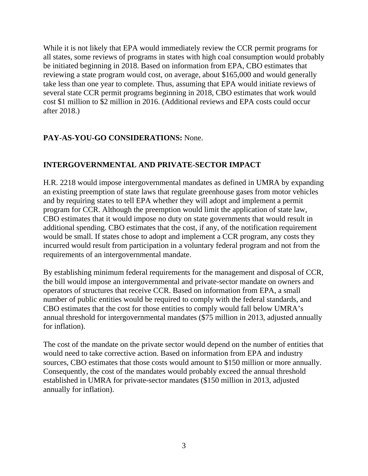While it is not likely that EPA would immediately review the CCR permit programs for all states, some reviews of programs in states with high coal consumption would probably be initiated beginning in 2018. Based on information from EPA, CBO estimates that reviewing a state program would cost, on average, about \$165,000 and would generally take less than one year to complete. Thus, assuming that EPA would initiate reviews of several state CCR permit programs beginning in 2018, CBO estimates that work would cost \$1 million to \$2 million in 2016. (Additional reviews and EPA costs could occur after 2018.)

### **PAY-AS-YOU-GO CONSIDERATIONS:** None.

## **INTERGOVERNMENTAL AND PRIVATE-SECTOR IMPACT**

H.R. 2218 would impose intergovernmental mandates as defined in UMRA by expanding an existing preemption of state laws that regulate greenhouse gases from motor vehicles and by requiring states to tell EPA whether they will adopt and implement a permit program for CCR. Although the preemption would limit the application of state law, CBO estimates that it would impose no duty on state governments that would result in additional spending. CBO estimates that the cost, if any, of the notification requirement would be small. If states chose to adopt and implement a CCR program, any costs they incurred would result from participation in a voluntary federal program and not from the requirements of an intergovernmental mandate.

By establishing minimum federal requirements for the management and disposal of CCR, the bill would impose an intergovernmental and private-sector mandate on owners and operators of structures that receive CCR. Based on information from EPA, a small number of public entities would be required to comply with the federal standards, and CBO estimates that the cost for those entities to comply would fall below UMRA's annual threshold for intergovernmental mandates (\$75 million in 2013, adjusted annually for inflation).

The cost of the mandate on the private sector would depend on the number of entities that would need to take corrective action. Based on information from EPA and industry sources, CBO estimates that those costs would amount to \$150 million or more annually. Consequently, the cost of the mandates would probably exceed the annual threshold established in UMRA for private-sector mandates (\$150 million in 2013, adjusted annually for inflation).